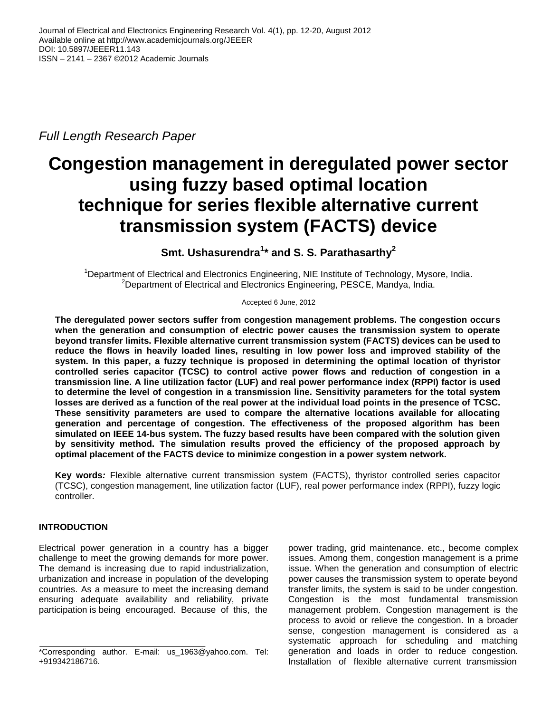*Full Length Research Paper*

# **Congestion management in deregulated power sector using fuzzy based optimal location technique for series flexible alternative current transmission system (FACTS) device**

# **Smt. Ushasurendra<sup>1</sup> \* and S. S. Parathasarthy<sup>2</sup>**

<sup>1</sup>Department of Electrical and Electronics Engineering, NIE Institute of Technology, Mysore, India. <sup>2</sup>Department of Electrical and Electronics Engineering, PESCE, Mandya, India.

Accepted 6 June, 2012

**The deregulated power sectors suffer from congestion management problems. The congestion occurs when the generation and consumption of electric power causes the transmission system to operate beyond transfer limits. Flexible alternative current transmission system (FACTS) devices can be used to reduce the flows in heavily loaded lines, resulting in low power loss and improved stability of the system. In this paper, a fuzzy technique is proposed in determining the optimal location of thyristor controlled series capacitor (TCSC) to control active power flows and reduction of congestion in a transmission line. A line utilization factor (LUF) and real power performance index (RPPI) factor is used to determine the level of congestion in a transmission line. Sensitivity parameters for the total system losses are derived as a function of the real power at the individual load points in the presence of TCSC. These sensitivity parameters are used to compare the alternative locations available for allocating generation and percentage of congestion. The effectiveness of the proposed algorithm has been simulated on IEEE 14-bus system. The fuzzy based results have been compared with the solution given by sensitivity method. The simulation results proved the efficiency of the proposed approach by optimal placement of the FACTS device to minimize congestion in a power system network.**

**Key words***:* Flexible alternative current transmission system (FACTS), thyristor controlled series capacitor (TCSC), congestion management, line utilization factor (LUF), real power performance index (RPPI), fuzzy logic controller.

# **INTRODUCTION**

Electrical power generation in a country has a bigger challenge to meet the growing demands for more power. The demand is increasing due to rapid industrialization, urbanization and increase in population of the developing countries. As a measure to meet the increasing demand ensuring adequate availability and reliability, private participation is being encouraged. Because of this, the

power trading, grid maintenance. etc., become complex issues. Among them, congestion management is a prime issue. When the generation and consumption of electric power causes the transmission system to operate beyond transfer limits, the system is said to be under congestion. Congestion is the most fundamental transmission management problem. Congestion management is the process to avoid or relieve the congestion. In a broader sense, congestion management is considered as a systematic approach for scheduling and matching generation and loads in order to reduce congestion. Installation of flexible alternative current transmission

<sup>\*</sup>Corresponding author. E-mail: us\_1963@yahoo.com. Tel: +919342186716.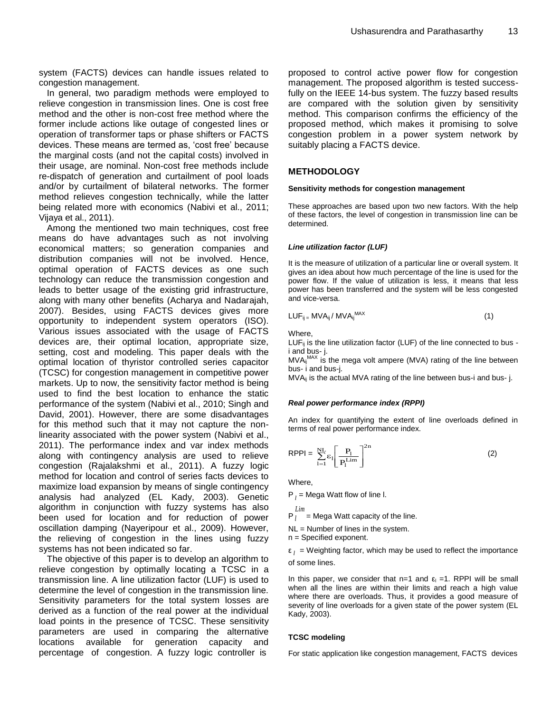system (FACTS) devices can handle issues related to congestion management.

In general, two paradigm methods were employed to relieve congestion in transmission lines. One is cost free method and the other is non-cost free method where the former include actions like outage of congested lines or operation of transformer taps or phase shifters or FACTS devices. These means are termed as, 'cost free' because the marginal costs (and not the capital costs) involved in their usage, are nominal. Non-cost free methods include re-dispatch of generation and curtailment of pool loads and/or by curtailment of bilateral networks. The former method relieves congestion technically, while the latter being related more with economics (Nabivi et al., 2011; Vijaya et al., 2011).

Among the mentioned two main techniques, cost free means do have advantages such as not involving economical matters; so generation companies and distribution companies will not be involved. Hence, optimal operation of FACTS devices as one such technology can reduce the transmission congestion and leads to better usage of the existing grid infrastructure, along with many other benefits (Acharya and Nadarajah, 2007). Besides, using FACTS devices gives more opportunity to independent system operators (ISO). Various issues associated with the usage of FACTS devices are, their optimal location, appropriate size, setting, cost and modeling. This paper deals with the optimal location of thyristor controlled series capacitor (TCSC) for congestion management in competitive power markets. Up to now, the sensitivity factor method is being used to find the best location to enhance the static performance of the system (Nabivi et al., 2010; Singh and David, 2001). However, there are some disadvantages for this method such that it may not capture the nonlinearity associated with the power system (Nabivi et al., 2011). The performance index and var index methods along with contingency analysis are used to relieve congestion (Rajalakshmi et al., 2011). A fuzzy logic method for location and control of series facts devices to maximize load expansion by means of single contingency analysis had analyzed (EL Kady, 2003). Genetic algorithm in conjunction with fuzzy systems has also been used for location and for reduction of power oscillation damping (Nayeripour et al., 2009). However, the relieving of congestion in the lines using fuzzy systems has not been indicated so far.

The objective of this paper is to develop an algorithm to relieve congestion by optimally locating a TCSC in a transmission line. A line utilization factor (LUF) is used to determine the level of congestion in the transmission line. Sensitivity parameters for the total system losses are derived as a function of the real power at the individual load points in the presence of TCSC. These sensitivity parameters are used in comparing the alternative locations available for generation capacity and percentage of congestion. A fuzzy logic controller is

proposed to control active power flow for congestion management. The proposed algorithm is tested successfully on the IEEE 14-bus system. The fuzzy based results are compared with the solution given by sensitivity method. This comparison confirms the efficiency of the proposed method, which makes it promising to solve congestion problem in a power system network by suitably placing a FACTS device.

#### **METHODOLOGY**

#### **Sensitivity methods for congestion management**

These approaches are based upon two new factors. With the help of these factors, the level of congestion in transmission line can be determined.

#### *Line utilization factor (LUF)*

It is the measure of utilization of a particular line or overall system. It gives an idea about how much percentage of the line is used for the power flow. If the value of utilization is less, it means that less power has been transferred and the system will be less congested and vice-versa.

$$
LUF_{ij} = MVA_{ij} / MVA_{ij}^{MAX}
$$
 (1)

Where,

LUF $_{ii}$  is the line utilization factor (LUF) of the line connected to bus i and bus- j.

 $MVA_{ij}^{MAX}$  is the mega volt ampere (MVA) rating of the line between bus- i and bus-j.

MVA<sub>ii</sub> is the actual MVA rating of the line between bus-i and bus- j.

#### *Real power performance index (RPPI)*

An index for quantifying the extent of line overloads defined in terms of real power performance index.

$$
RPPI = \sum_{1=1}^{NL} \varepsilon_1 \left[ \frac{P_1}{P_1^{\text{Lim}}} \right]^{2n} \tag{2}
$$

Where,

P<sub>l</sub> = Mega Watt flow of line I.

$$
\sum_{i=1}^{n} L_{i}
$$

 $P_l$  = Mega Watt capacity of the line.

NL = Number of lines in the system.

n = Specified exponent.

 $\varepsilon$ <sub>l</sub> = Weighting factor, which may be used to reflect the importance of some lines.

In this paper, we consider that  $n=1$  and  $\varepsilon_1 = 1$ . RPPI will be small when all the lines are within their limits and reach a high value where there are overloads. Thus, it provides a good measure of severity of line overloads for a given state of the power system (EL Kady, 2003).

#### **TCSC modeling**

For static application like congestion management, FACTS devices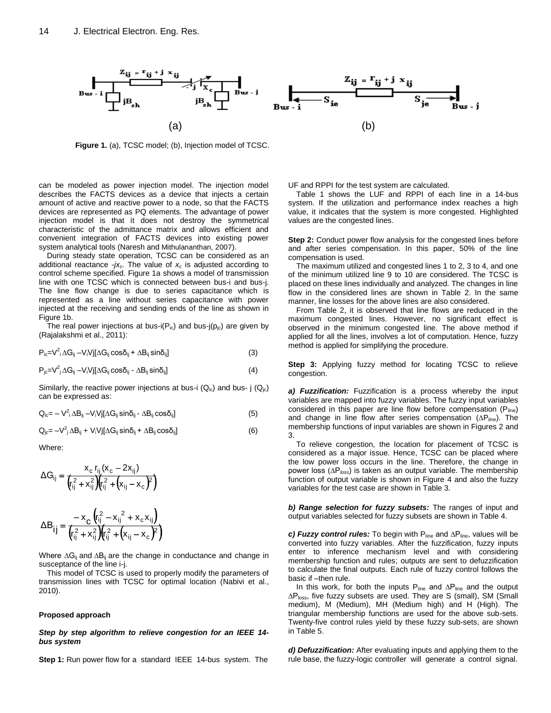

**Figure 1.** (a), TCSC model; (b), Injection model of TCSC.

can be modeled as power injection model. The injection model describes the FACTS devices as a device that injects a certain amount of active and reactive power to a node, so that the FACTS devices are represented as PQ elements. The advantage of power injection model is that it does not destroy the symmetrical characteristic of the admittance matrix and allows efficient and convenient integration of FACTS devices into existing power system analytical tools (Naresh and Mithulananthan, 2007).

During steady state operation, TCSC can be considered as an additional reactance -*jxc.* The value of *x<sup>c</sup>* is adjusted according to control scheme specified. Figure 1a shows a model of transmission line with one TCSC which is connected between bus-i and bus-j. The line flow change is due to series capacitance which is represented as a line without series capacitance with power injected at the receiving and sending ends of the line as shown in Figure 1b.

The real power injections at bus-i( $P_{ic}$ ) and bus-j( $p_{ic}$ ) are given by (Rajalakshmi et al., 2011):

$$
P_{ic} = V^2 \Delta G_{ij} - V_i V j [\Delta G_{ij} \cos \delta_{ij} + \Delta B_{ij} \sin \delta_{ij}]
$$
\n(3)

$$
P_{jc} = V^2 j \Delta G_{ij} - V_i V j [\Delta G_{ij} \cos \delta_{ij} - \Delta B_{ij} \sin \delta_{ij}]
$$
\n(4)

Similarly, the reactive power injections at bus-i  $(Q_{ic})$  and bus- j  $(Q_{ic})$ can be expressed as:

$$
Q_{ic} = -V^2{}_i \Delta B_{ij} - V_i V j [\Delta G_{ij} \sin \delta_{ij} - \Delta B_{ij} \cos \delta_{ij}]
$$
\n(5)

$$
Q_{j c} = -V_{j}^{2} \Delta B_{ij} + V_{i} V_{j} [\Delta G_{ij} \sin \delta_{ij} + \Delta B_{ij} \cos \delta_{ij}]
$$
\n(6)

Where:

$$
\Delta G_{ij} = \frac{x_c \, r_{ij} (x_c - 2x_{ij})}{(r_{ij}^2 + x_{ij}^2)(r_{ij}^2 + (x_{ij} - x_c)^2)}
$$

$$
\Delta B_{ij} = \frac{-x_c (r_{ij}^2 - x_{ij}^2 + x_c x_{ij})}{(r_{ij}^2 + x_{ij}^2)(r_{ij}^2 + (x_{ij} - x_c)^2)}
$$

Where ∆G<sub>ii</sub> and ∆B<sub>ii</sub> are the change in conductance and change in susceptance of the line i-j.

This model of TCSC is used to properly modify the parameters of transmission lines with TCSC for optimal location (Nabivi et al., 2010).

#### **Proposed approach**

#### *Step by step algorithm to relieve congestion for an IEEE 14 bus system*

**Step 1:** Run power flow for a standard IEEE 14-bus system. The

UF and RPPI for the test system are calculated.

Table 1 shows the LUF and RPPI of each line in a 14-bus system. If the utilization and performance index reaches a high value, it indicates that the system is more congested. Highlighted values are the congested lines.

**Step 2:** Conduct power flow analysis for the congested lines before and after series compensation. In this paper, 50% of the line compensation is used.

The maximum utilized and congested lines 1 to 2, 3 to 4, and one of the minimum utilized line 9 to 10 are considered. The TCSC is placed on these lines individually and analyzed. The changes in line flow in the considered lines are shown in Table 2. In the same manner, line losses for the above lines are also considered.

From Table 2, it is observed that line flows are reduced in the maximum congested lines. However, no significant effect is observed in the minimum congested line. The above method if applied for all the lines, involves a lot of computation. Hence, fuzzy method is applied for simplifying the procedure.

**Step 3:** Applying fuzzy method for locating TCSC to relieve congestion.

*a) Fuzzification:* Fuzzification is a process whereby the input variables are mapped into fuzzy variables. The fuzzy input variables considered in this paper are line flow before compensation  $(P_{\text{line}})$ and change in line flow after series compensation (∆P*line*). The membership functions of input variables are shown in Figures 2 and 3.

To relieve congestion, the location for placement of TCSC is considered as a major issue. Hence, TCSC can be placed where the low power loss occurs in the line. Therefore, the change in power loss (∆P*loss*) is taken as an output variable. The membership function of output variable is shown in Figure 4 and also the fuzzy variables for the test case are shown in Table 3.

*b) Range selection for fuzzy subsets:* The ranges of input and output variables selected for fuzzy subsets are shown in Table 4.

*c) Fuzzy control rules:* To begin with P<sub>line</sub> and ∆P<sub>line</sub>, values will be converted into fuzzy variables. After the fuzzification, fuzzy inputs enter to inference mechanism level and with considering membership function and rules; outputs are sent to defuzzification to calculate the final outputs. Each rule of fuzzy control follows the basic if –then rule.

In this work, for both the inputs P<sub>line</sub> and ∆P<sub>line</sub> and the output ∆P<sub>loss</sub>, five fuzzy subsets are used. They are S (small), SM (Small medium), M (Medium), MH (Medium high) and H (High). The triangular membership functions are used for the above sub-sets. Twenty-five control rules yield by these fuzzy sub-sets, are shown in Table 5.

*d) Defuzzification:* After evaluating inputs and applying them to the rule base, the fuzzy-logic controller will generate a control signal.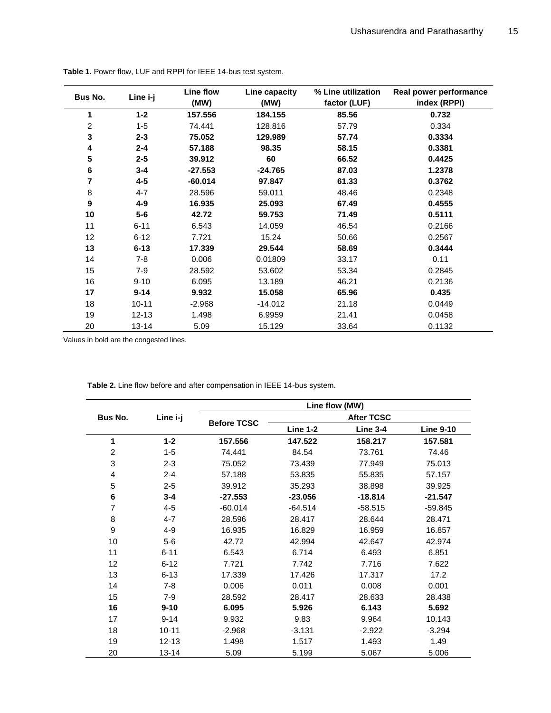| <b>Bus No.</b> | Line i-j  | Line flow<br>(MW) | Line capacity<br>(MW) | % Line utilization<br>factor (LUF) | Real power performance<br>index (RPPI) |
|----------------|-----------|-------------------|-----------------------|------------------------------------|----------------------------------------|
| 1              | $1 - 2$   | 157.556           | 184.155               | 85.56                              | 0.732                                  |
| $\overline{c}$ | $1 - 5$   | 74.441            | 128.816               | 57.79                              | 0.334                                  |
| 3              | $2 - 3$   | 75.052            | 129.989               | 57.74                              | 0.3334                                 |
| 4              | $2 - 4$   | 57.188            | 98.35                 | 58.15                              | 0.3381                                 |
| ${\bf 5}$      | $2 - 5$   | 39.912            | 60                    | 66.52                              | 0.4425                                 |
| 6              | $3 - 4$   | $-27.553$         | $-24.765$             | 87.03                              | 1.2378                                 |
| 7              | $4 - 5$   | $-60.014$         | 97.847                | 61.33                              | 0.3762                                 |
| 8              | $4 - 7$   | 28.596            | 59.011                | 48.46                              | 0.2348                                 |
| 9              | $4 - 9$   | 16.935            | 25.093                | 67.49                              | 0.4555                                 |
| 10             | $5-6$     | 42.72             | 59.753                | 71.49                              | 0.5111                                 |
| 11             | $6 - 11$  | 6.543             | 14.059                | 46.54                              | 0.2166                                 |
| 12             | $6 - 12$  | 7.721             | 15.24                 | 50.66                              | 0.2567                                 |
| 13             | $6 - 13$  | 17.339            | 29.544                | 58.69                              | 0.3444                                 |
| 14             | $7 - 8$   | 0.006             | 0.01809               | 33.17                              | 0.11                                   |
| 15             | $7 - 9$   | 28.592            | 53.602                | 53.34                              | 0.2845                                 |
| 16             | $9 - 10$  | 6.095             | 13.189                | 46.21                              | 0.2136                                 |
| 17             | $9 - 14$  | 9.932             | 15.058                | 65.96                              | 0.435                                  |
| 18             | $10 - 11$ | $-2.968$          | $-14.012$             | 21.18                              | 0.0449                                 |
| 19             | $12 - 13$ | 1.498             | 6.9959                | 21.41                              | 0.0458                                 |
| 20             | $13 - 14$ | 5.09              | 15.129                | 33.64                              | 0.1132                                 |

**Table 1.** Power flow, LUF and RPPI for IEEE 14-bus test system.

Values in bold are the congested lines.

**Table 2.** Line flow before and after compensation in IEEE 14-bus system.

|                | Line i-j  | Line flow (MW)     |                   |                 |                  |
|----------------|-----------|--------------------|-------------------|-----------------|------------------|
| Bus No.        |           |                    | <b>After TCSC</b> |                 |                  |
|                |           | <b>Before TCSC</b> | <b>Line 1-2</b>   | <b>Line 3-4</b> | <b>Line 9-10</b> |
| 1              | $1 - 2$   | 157.556            | 147.522           | 158.217         | 157.581          |
| $\overline{c}$ | $1 - 5$   | 74.441             | 84.54             | 73.761          | 74.46            |
| 3              | $2 - 3$   | 75.052             | 73.439            | 77.949          | 75.013           |
| $\overline{4}$ | $2 - 4$   | 57.188             | 53.835            | 55.835          | 57.157           |
| 5              | $2 - 5$   | 39.912             | 35.293            | 38.898          | 39.925           |
| 6              | $3 - 4$   | $-27.553$          | $-23.056$         | $-18.814$       | $-21.547$        |
| 7              | $4 - 5$   | $-60.014$          | $-64.514$         | $-58.515$       | $-59.845$        |
| 8              | $4 - 7$   | 28.596             | 28.417            | 28.644          | 28.471           |
| 9              | $4 - 9$   | 16.935             | 16.829            | 16.959          | 16.857           |
| 10             | $5-6$     | 42.72              | 42.994            | 42.647          | 42.974           |
| 11             | $6 - 11$  | 6.543              | 6.714             | 6.493           | 6.851            |
| 12             | $6 - 12$  | 7.721              | 7.742             | 7.716           | 7.622            |
| 13             | $6 - 13$  | 17.339             | 17.426            | 17.317          | 17.2             |
| 14             | $7 - 8$   | 0.006              | 0.011             | 0.008           | 0.001            |
| 15             | $7-9$     | 28.592             | 28.417            | 28.633          | 28.438           |
| 16             | $9 - 10$  | 6.095              | 5.926             | 6.143           | 5.692            |
| 17             | $9 - 14$  | 9.932              | 9.83              | 9.964           | 10.143           |
| 18             | $10 - 11$ | $-2.968$           | $-3.131$          | $-2.922$        | $-3.294$         |
| 19             | $12 - 13$ | 1.498              | 1.517             | 1.493           | 1.49             |
| 20             | $13 - 14$ | 5.09               | 5.199             | 5.067           | 5.006            |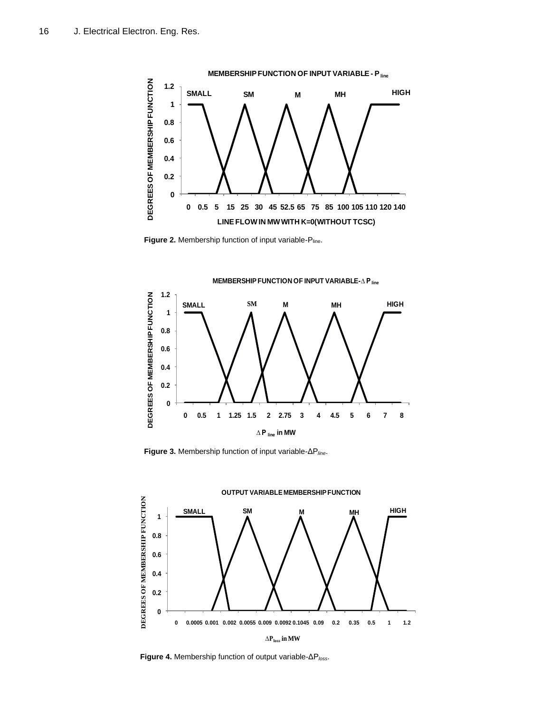

Figure 2. Membership function of input variable-Pline.



**Figure 3.** Membership function of input variable-ΔP*line*.



**Figure 4.** Membership function of output variable-ΔP*loss*.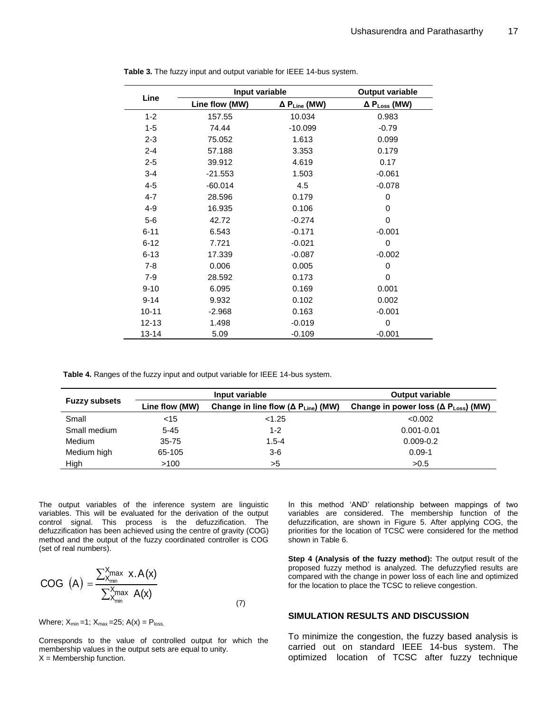| Line      | Input variable | <b>Output variable</b>          |                        |
|-----------|----------------|---------------------------------|------------------------|
|           | Line flow (MW) | $\Delta$ P <sub>Line</sub> (MW) | $\Delta P_{Loss}$ (MW) |
| $1 - 2$   | 157.55         | 10.034                          | 0.983                  |
| $1 - 5$   | 74.44          | $-10.099$                       | $-0.79$                |
| $2 - 3$   | 75.052         | 1.613                           | 0.099                  |
| $2 - 4$   | 57.188         | 3.353                           | 0.179                  |
| $2 - 5$   | 39.912         | 4.619                           | 0.17                   |
| $3 - 4$   | $-21.553$      | 1.503                           | $-0.061$               |
| $4 - 5$   | $-60.014$      | 4.5                             | $-0.078$               |
| $4 - 7$   | 28.596         | 0.179                           | $\mathbf 0$            |
| $4 - 9$   | 16.935         | 0.106                           | $\mathbf 0$            |
| $5-6$     | 42.72          | $-0.274$                        | 0                      |
| $6 - 11$  | 6.543          | $-0.171$                        | $-0.001$               |
| $6 - 12$  | 7.721          | $-0.021$                        | $\mathbf 0$            |
| $6 - 13$  | 17.339         | $-0.087$                        | $-0.002$               |
| $7 - 8$   | 0.006          | 0.005                           | $\Omega$               |
| $7-9$     | 28.592         | 0.173                           | $\mathbf 0$            |
| $9 - 10$  | 6.095          | 0.169                           | 0.001                  |
| $9 - 14$  | 9.932          | 0.102                           | 0.002                  |
| $10 - 11$ | $-2.968$       | 0.163                           | $-0.001$               |
| $12 - 13$ | 1.498          | $-0.019$                        | 0                      |
| 13-14     | 5.09           | $-0.109$                        | $-0.001$               |

**Table 3.** The fuzzy input and output variable for IEEE 14-bus system.

**Table 4.** Ranges of the fuzzy input and output variable for IEEE 14-bus system.

| <b>Fuzzy subsets</b> |                | Input variable                                        | <b>Output variable</b>                                 |  |
|----------------------|----------------|-------------------------------------------------------|--------------------------------------------------------|--|
|                      | Line flow (MW) | Change in line flow ( $\Delta P_{\text{Line}}$ ) (MW) | Change in power loss ( $\Delta P_{\text{Loss}}$ ) (MW) |  |
| Small                | $<$ 15         | < 1.25                                                | < 0.002                                                |  |
| Small medium         | $5 - 45$       | $1 - 2$                                               | $0.001 - 0.01$                                         |  |
| Medium               | $35 - 75$      | $1.5 - 4$                                             | $0.009 - 0.2$                                          |  |
| Medium high          | 65-105         | $3-6$                                                 | $0.09 - 1$                                             |  |
| High                 | >100           | >5                                                    | >0.5                                                   |  |

The output variables of the inference system are linguistic variables. This will be evaluated for the derivation of the output control signal. This process is the defuzzification. The defuzzification has been achieved using the centre of gravity (COG) method and the output of the fuzzy coordinated controller is COG (set of real numbers).

$$
COG (A) = \frac{\sum_{x_{min}}^{X_{max}} x.A(x)}{\sum_{x_{min}}^{X_{max}} A(x)}
$$
(7)

Where;  $X_{min} = 1$ ;  $X_{max} = 25$ ;  $A(x) = P_{loss}$ ,

Corresponds to the value of controlled output for which the membership values in the output sets are equal to unity.  $X =$  Membership function.

In this method 'AND' relationship between mappings of two variables are considered. The membership function of the defuzzification, are shown in Figure 5. After applying COG, the priorities for the location of TCSC were considered for the method shown in Table 6.

**Step 4 (Analysis of the fuzzy method):** The output result of the proposed fuzzy method is analyzed. The defuzzyfied results are compared with the change in power loss of each line and optimized for the location to place the TCSC to relieve congestion.

## **SIMULATION RESULTS AND DISCUSSION**

To minimize the congestion, the fuzzy based analysis is carried out on standard IEEE 14-bus system. The optimized location of TCSC after fuzzy technique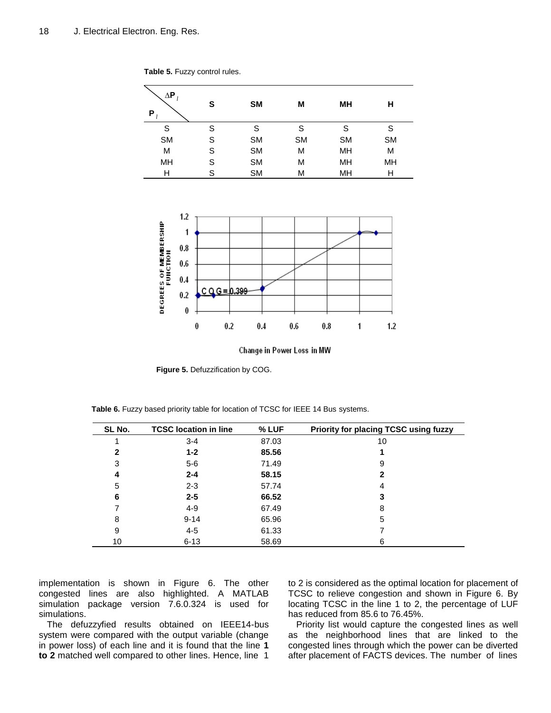| $\Delta \mathsf{P}$<br>P | S | <b>SM</b> | M         | MН        | н         |
|--------------------------|---|-----------|-----------|-----------|-----------|
| S                        | S | S         | S         | S         | S         |
| <b>SM</b>                | S | <b>SM</b> | <b>SM</b> | <b>SM</b> | <b>SM</b> |
| M                        | S | <b>SM</b> | М         | MH        | M         |
| MH                       | S | <b>SM</b> | М         | MH        | MH        |
| Н                        | S | <b>SM</b> | М         | MH        | Н         |

**Table 5.** Fuzzy control rules.



Change in Power Loss in MW

**Figure 5.** Defuzzification by COG.

| SL No. | <b>TCSC location in line</b> | % LUF | <b>Priority for placing TCSC using fuzzy</b> |
|--------|------------------------------|-------|----------------------------------------------|
|        | $3 - 4$                      | 87.03 | 10                                           |
| 2      | $1 - 2$                      | 85.56 |                                              |
| 3      | $5-6$                        | 71.49 | 9                                            |
| 4      | $2 - 4$                      | 58.15 | 2                                            |
| 5      | $2 - 3$                      | 57.74 | 4                                            |
| 6      | $2 - 5$                      | 66.52 | 3                                            |
|        | $4 - 9$                      | 67.49 | 8                                            |
| 8      | $9 - 14$                     | 65.96 | 5                                            |
| 9      | $4 - 5$                      | 61.33 |                                              |
| 10     | $6 - 13$                     | 58.69 | 6                                            |

**Table 6.** Fuzzy based priority table for location of TCSC for IEEE 14 Bus systems.

implementation is shown in Figure 6. The other congested lines are also highlighted. A MATLAB simulation package version 7.6.0.324 is used for simulations.

The defuzzyfied results obtained on IEEE14-bus system were compared with the output variable (change in power loss) of each line and it is found that the line **1 to 2** matched well compared to other lines. Hence, line 1 to 2 is considered as the optimal location for placement of TCSC to relieve congestion and shown in Figure 6. By locating TCSC in the line 1 to 2, the percentage of LUF has reduced from 85.6 to 76.45%.

Priority list would capture the congested lines as well as the neighborhood lines that are linked to the congested lines through which the power can be diverted after placement of FACTS devices. The number of lines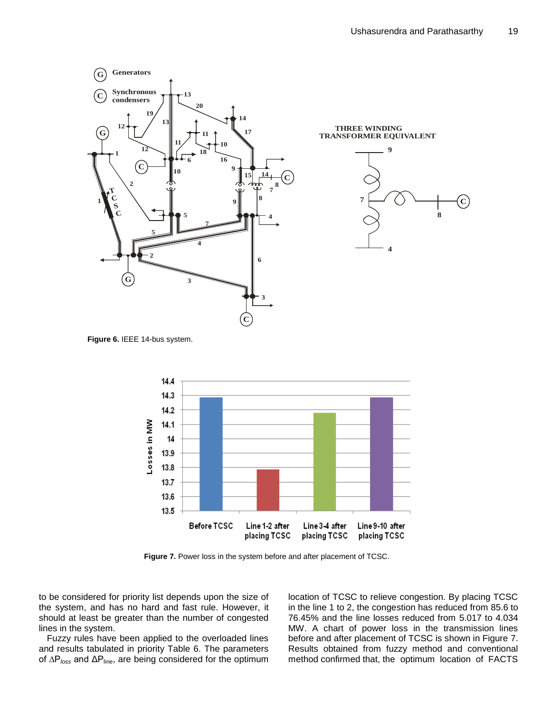

**Figure 6.** IEEE 14-bus system.



**Figure 7.** Power loss in the system before and after placement of TCSC.

to be considered for priority list depends upon the size of the system, and has no hard and fast rule. However, it should at least be greater than the number of congested lines in the system.

Fuzzy rules have been applied to the overloaded lines and results tabulated in priority Table 6. The parameters of ∆P*loss* and ΔPline, are being considered for the optimum location of TCSC to relieve congestion. By placing TCSC in the line 1 to 2, the congestion has reduced from 85.6 to 76.45% and the line losses reduced from 5.017 to 4.034 MW. A chart of power loss in the transmission lines before and after placement of TCSC is shown in Figure 7. Results obtained from fuzzy method and conventional method confirmed that, the optimum location of FACTS